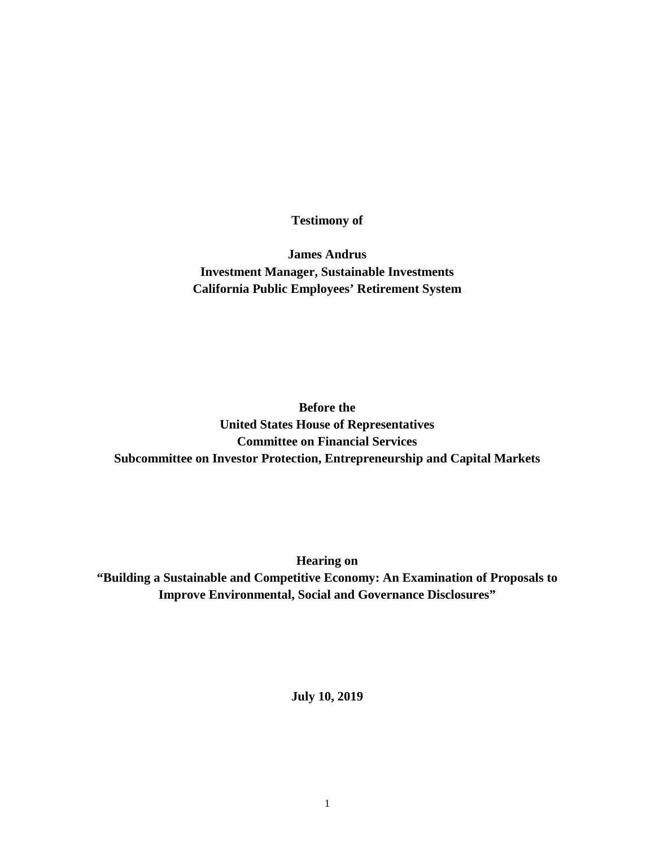**Testimony of** 

**James Andrus Investment Manager, Sustainable Investments California Public Employees' Retirement System**

**Before the United States House of Representatives Committee on Financial Services Subcommittee on Investor Protection, Entrepreneurship and Capital Markets**

**Hearing on "Building a Sustainable and Competitive Economy: An Examination of Proposals to Improve Environmental, Social and Governance Disclosures"**

**July 10, 2019**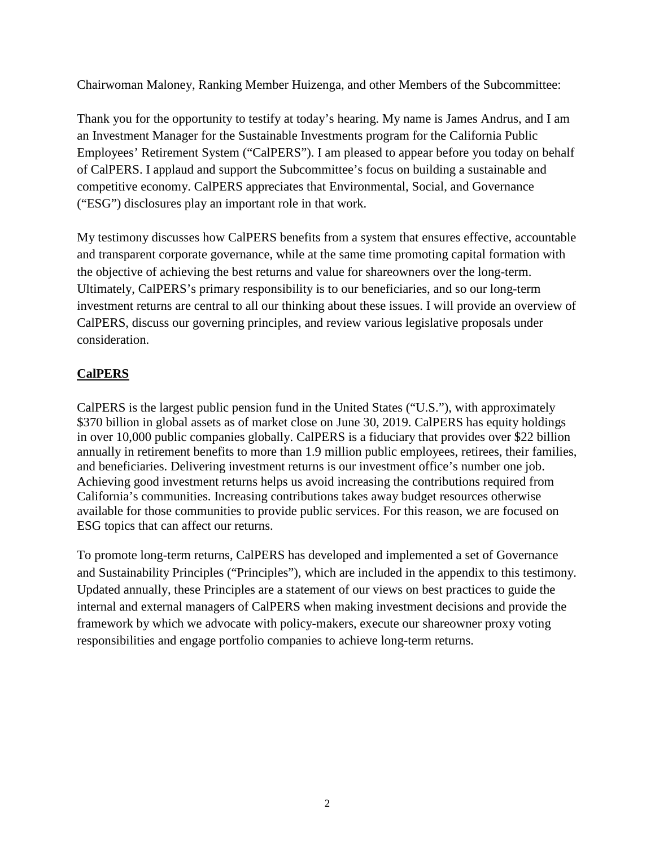Chairwoman Maloney, Ranking Member Huizenga, and other Members of the Subcommittee:

Thank you for the opportunity to testify at today's hearing. My name is James Andrus, and I am an Investment Manager for the Sustainable Investments program for the California Public Employees' Retirement System ("CalPERS"). I am pleased to appear before you today on behalf of CalPERS. I applaud and support the Subcommittee's focus on building a sustainable and competitive economy. CalPERS appreciates that Environmental, Social, and Governance ("ESG") disclosures play an important role in that work.

My testimony discusses how CalPERS benefits from a system that ensures effective, accountable and transparent corporate governance, while at the same time promoting capital formation with the objective of achieving the best returns and value for shareowners over the long-term. Ultimately, CalPERS's primary responsibility is to our beneficiaries, and so our long-term investment returns are central to all our thinking about these issues. I will provide an overview of CalPERS, discuss our governing principles, and review various legislative proposals under consideration.

# **CalPERS**

CalPERS is the largest public pension fund in the United States ("U.S."), with approximately \$370 billion in global assets as of market close on June 30, 2019. CalPERS has equity holdings in over 10,000 public companies globally. CalPERS is a fiduciary that provides over \$22 billion annually in retirement benefits to more than 1.9 million public employees, retirees, their families, and beneficiaries. Delivering investment returns is our investment office's number one job. Achieving good investment returns helps us avoid increasing the contributions required from California's communities. Increasing contributions takes away budget resources otherwise available for those communities to provide public services. For this reason, we are focused on ESG topics that can affect our returns.

To promote long-term returns, CalPERS has developed and implemented a set of Governance and Sustainability Principles ("Principles"), which are included in the appendix to this testimony. Updated annually, these Principles are a statement of our views on best practices to guide the internal and external managers of CalPERS when making investment decisions and provide the framework by which we advocate with policy-makers, execute our shareowner proxy voting responsibilities and engage portfolio companies to achieve long-term returns.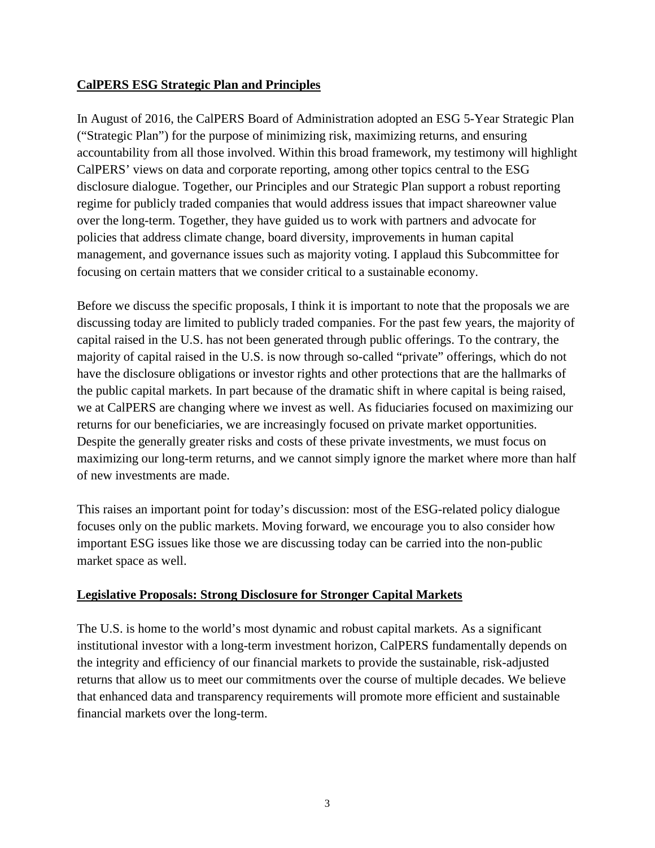## **CalPERS ESG Strategic Plan and Principles**

In August of 2016, the CalPERS Board of Administration adopted an ESG 5-Year Strategic Plan ("Strategic Plan") for the purpose of minimizing risk, maximizing returns, and ensuring accountability from all those involved. Within this broad framework, my testimony will highlight CalPERS' views on data and corporate reporting, among other topics central to the ESG disclosure dialogue. Together, our Principles and our Strategic Plan support a robust reporting regime for publicly traded companies that would address issues that impact shareowner value over the long-term. Together, they have guided us to work with partners and advocate for policies that address climate change, board diversity, improvements in human capital management, and governance issues such as majority voting. I applaud this Subcommittee for focusing on certain matters that we consider critical to a sustainable economy.

Before we discuss the specific proposals, I think it is important to note that the proposals we are discussing today are limited to publicly traded companies. For the past few years, the majority of capital raised in the U.S. has not been generated through public offerings. To the contrary, the majority of capital raised in the U.S. is now through so-called "private" offerings, which do not have the disclosure obligations or investor rights and other protections that are the hallmarks of the public capital markets. In part because of the dramatic shift in where capital is being raised, we at CalPERS are changing where we invest as well. As fiduciaries focused on maximizing our returns for our beneficiaries, we are increasingly focused on private market opportunities. Despite the generally greater risks and costs of these private investments, we must focus on maximizing our long-term returns, and we cannot simply ignore the market where more than half of new investments are made.

This raises an important point for today's discussion: most of the ESG-related policy dialogue focuses only on the public markets. Moving forward, we encourage you to also consider how important ESG issues like those we are discussing today can be carried into the non-public market space as well.

### **Legislative Proposals: Strong Disclosure for Stronger Capital Markets**

The U.S. is home to the world's most dynamic and robust capital markets. As a significant institutional investor with a long-term investment horizon, CalPERS fundamentally depends on the integrity and efficiency of our financial markets to provide the sustainable, risk-adjusted returns that allow us to meet our commitments over the course of multiple decades. We believe that enhanced data and transparency requirements will promote more efficient and sustainable financial markets over the long-term.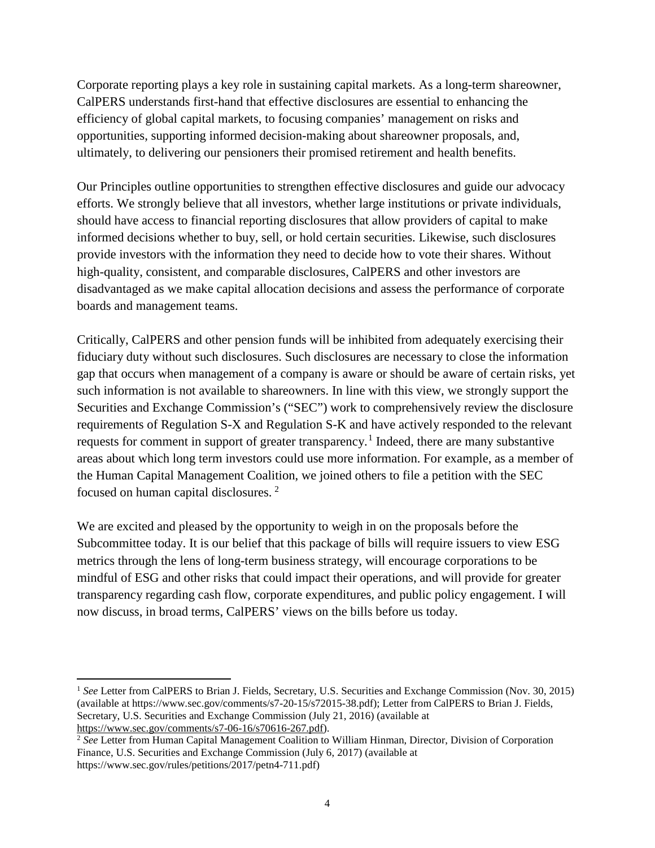Corporate reporting plays a key role in sustaining capital markets. As a long-term shareowner, CalPERS understands first-hand that effective disclosures are essential to enhancing the efficiency of global capital markets, to focusing companies' management on risks and opportunities, supporting informed decision-making about shareowner proposals, and, ultimately, to delivering our pensioners their promised retirement and health benefits.

Our Principles outline opportunities to strengthen effective disclosures and guide our advocacy efforts. We strongly believe that all investors, whether large institutions or private individuals, should have access to financial reporting disclosures that allow providers of capital to make informed decisions whether to buy, sell, or hold certain securities. Likewise, such disclosures provide investors with the information they need to decide how to vote their shares. Without high-quality, consistent, and comparable disclosures, CalPERS and other investors are disadvantaged as we make capital allocation decisions and assess the performance of corporate boards and management teams.

Critically, CalPERS and other pension funds will be inhibited from adequately exercising their fiduciary duty without such disclosures. Such disclosures are necessary to close the information gap that occurs when management of a company is aware or should be aware of certain risks, yet such information is not available to shareowners. In line with this view, we strongly support the Securities and Exchange Commission's ("SEC") work to comprehensively review the disclosure requirements of Regulation S-X and Regulation S-K and have actively responded to the relevant requests for comment in support of greater transparency.<sup>[1](#page-3-0)</sup> Indeed, there are many substantive areas about which long term investors could use more information. For example, as a member of the Human Capital Management Coalition, we joined others to file a petition with the SEC focused on human capital disclosures.<sup>[2](#page-3-1)</sup>

We are excited and pleased by the opportunity to weigh in on the proposals before the Subcommittee today. It is our belief that this package of bills will require issuers to view ESG metrics through the lens of long-term business strategy, will encourage corporations to be mindful of ESG and other risks that could impact their operations, and will provide for greater transparency regarding cash flow, corporate expenditures, and public policy engagement. I will now discuss, in broad terms, CalPERS' views on the bills before us today.

<span id="page-3-0"></span> $\overline{a}$ <sup>1</sup> *See* Letter from CalPERS to Brian J. Fields, Secretary, U.S. Securities and Exchange Commission (Nov. 30, 2015) (available at https://www.sec.gov/comments/s7-20-15/s72015-38.pdf); Letter from CalPERS to Brian J. Fields, Secretary, U.S. Securities and Exchange Commission (July 21, 2016) (available at [https://www.sec.gov/comments/s7-06-16/s70616-267.pdf\)](https://www.sec.gov/comments/s7-06-16/s70616-267.pdf).<br><sup>2</sup> See Letter from Human Capital Management Coalition to William Hinman, Director, Division of Corporation

<span id="page-3-1"></span>Finance, U.S. Securities and Exchange Commission (July 6, 2017) (available at https://www.sec.gov/rules/petitions/2017/petn4-711.pdf)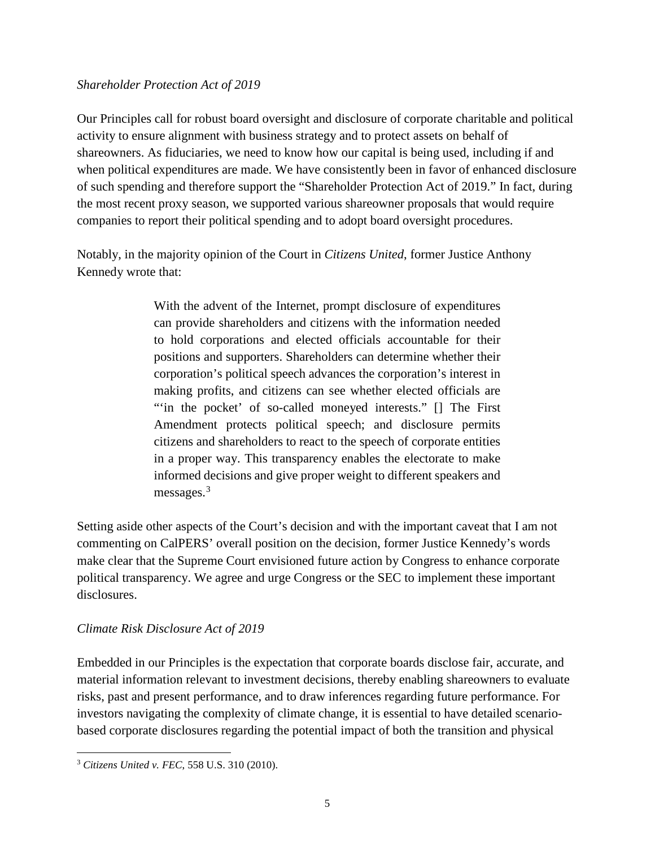#### *Shareholder Protection Act of 2019*

Our Principles call for robust board oversight and disclosure of corporate charitable and political activity to ensure alignment with business strategy and to protect assets on behalf of shareowners. As fiduciaries, we need to know how our capital is being used, including if and when political expenditures are made. We have consistently been in favor of enhanced disclosure of such spending and therefore support the "Shareholder Protection Act of 2019." In fact, during the most recent proxy season, we supported various shareowner proposals that would require companies to report their political spending and to adopt board oversight procedures.

Notably, in the majority opinion of the Court in *Citizens United*, former Justice Anthony Kennedy wrote that:

> With the advent of the Internet, prompt disclosure of expenditures can provide shareholders and citizens with the information needed to hold corporations and elected officials accountable for their positions and supporters. Shareholders can determine whether their corporation's political speech advances the corporation's interest in making profits, and citizens can see whether elected officials are "in the pocket' of so-called moneyed interests." [] The First Amendment protects political speech; and disclosure permits citizens and shareholders to react to the speech of corporate entities in a proper way. This transparency enables the electorate to make informed decisions and give proper weight to different speakers and messages. $3$

Setting aside other aspects of the Court's decision and with the important caveat that I am not commenting on CalPERS' overall position on the decision, former Justice Kennedy's words make clear that the Supreme Court envisioned future action by Congress to enhance corporate political transparency. We agree and urge Congress or the SEC to implement these important disclosures.

### *Climate Risk Disclosure Act of 2019*

Embedded in our Principles is the expectation that corporate boards disclose fair, accurate, and material information relevant to investment decisions, thereby enabling shareowners to evaluate risks, past and present performance, and to draw inferences regarding future performance. For investors navigating the complexity of climate change, it is essential to have detailed scenariobased corporate disclosures regarding the potential impact of both the transition and physical

<span id="page-4-0"></span> $\overline{a}$ <sup>3</sup> *Citizens United v. FEC*, 558 U.S. 310 (2010).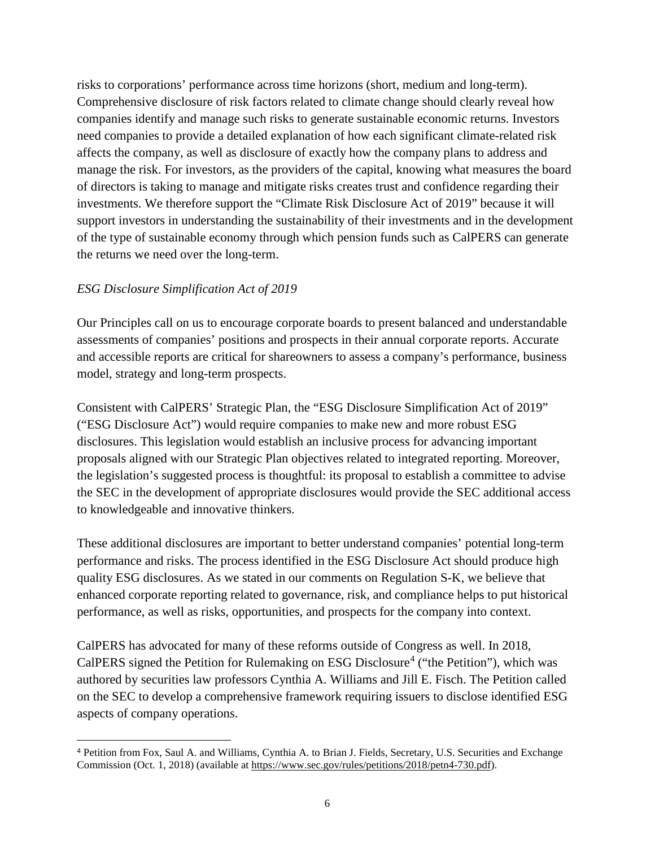risks to corporations' performance across time horizons (short, medium and long-term). Comprehensive disclosure of risk factors related to climate change should clearly reveal how companies identify and manage such risks to generate sustainable economic returns. Investors need companies to provide a detailed explanation of how each significant climate-related risk affects the company, as well as disclosure of exactly how the company plans to address and manage the risk. For investors, as the providers of the capital, knowing what measures the board of directors is taking to manage and mitigate risks creates trust and confidence regarding their investments. We therefore support the "Climate Risk Disclosure Act of 2019" because it will support investors in understanding the sustainability of their investments and in the development of the type of sustainable economy through which pension funds such as CalPERS can generate the returns we need over the long-term.

#### *ESG Disclosure Simplification Act of 2019*

Our Principles call on us to encourage corporate boards to present balanced and understandable assessments of companies' positions and prospects in their annual corporate reports. Accurate and accessible reports are critical for shareowners to assess a company's performance, business model, strategy and long-term prospects.

Consistent with CalPERS' Strategic Plan, the "ESG Disclosure Simplification Act of 2019" ("ESG Disclosure Act") would require companies to make new and more robust ESG disclosures. This legislation would establish an inclusive process for advancing important proposals aligned with our Strategic Plan objectives related to integrated reporting. Moreover, the legislation's suggested process is thoughtful: its proposal to establish a committee to advise the SEC in the development of appropriate disclosures would provide the SEC additional access to knowledgeable and innovative thinkers.

These additional disclosures are important to better understand companies' potential long-term performance and risks. The process identified in the ESG Disclosure Act should produce high quality ESG disclosures. As we stated in our comments on Regulation S-K, we believe that enhanced corporate reporting related to governance, risk, and compliance helps to put historical performance, as well as risks, opportunities, and prospects for the company into context.

CalPERS has advocated for many of these reforms outside of Congress as well. In 2018, CalPERS signed the Petition for Rulemaking on ESG Disclosure<sup>[4](#page-5-0)</sup> ("the Petition"), which was authored by securities law professors Cynthia A. Williams and Jill E. Fisch. The Petition called on the SEC to develop a comprehensive framework requiring issuers to disclose identified ESG aspects of company operations.

<span id="page-5-0"></span> <sup>4</sup> Petition from Fox, Saul A. and Williams, Cynthia A. to Brian J. Fields, Secretary, U.S. Securities and Exchange Commission (Oct. 1, 2018) (available at [https://www.sec.gov/rules/petitions/2018/petn4-730.pdf\)](https://www.sec.gov/rules/petitions/2018/petn4-730.pdf).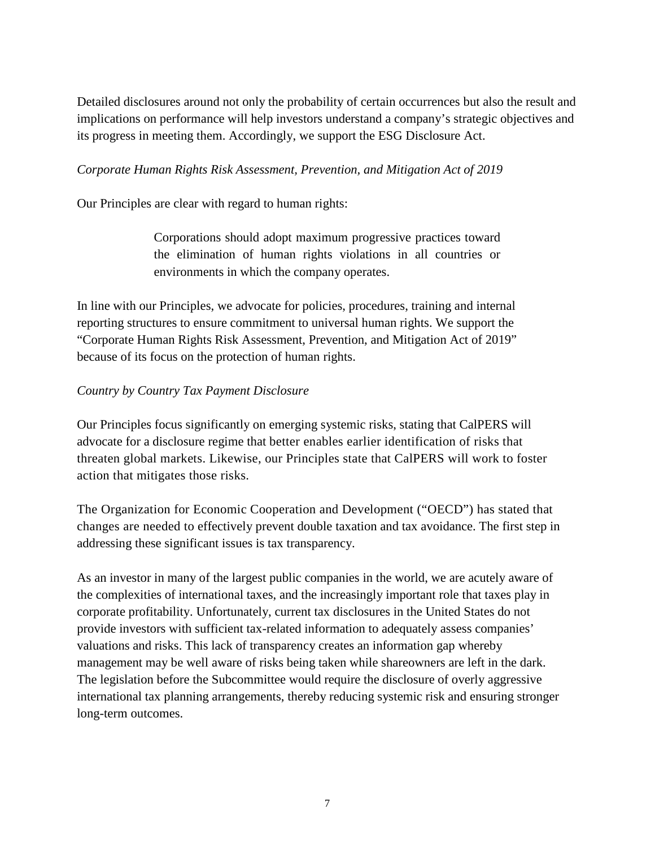Detailed disclosures around not only the probability of certain occurrences but also the result and implications on performance will help investors understand a company's strategic objectives and its progress in meeting them. Accordingly, we support the ESG Disclosure Act.

#### *Corporate Human Rights Risk Assessment, Prevention, and Mitigation Act of 2019*

Our Principles are clear with regard to human rights:

Corporations should adopt maximum progressive practices toward the elimination of human rights violations in all countries or environments in which the company operates.

In line with our Principles, we advocate for policies, procedures, training and internal reporting structures to ensure commitment to universal human rights. We support the "Corporate Human Rights Risk Assessment, Prevention, and Mitigation Act of 2019" because of its focus on the protection of human rights.

### *Country by Country Tax Payment Disclosure*

Our Principles focus significantly on emerging systemic risks, stating that CalPERS will advocate for a disclosure regime that better enables earlier identification of risks that threaten global markets. Likewise, our Principles state that CalPERS will work to foster action that mitigates those risks.

The Organization for Economic Cooperation and Development ("OECD") has stated that changes are needed to effectively prevent double taxation and tax avoidance. The first step in addressing these significant issues is tax transparency.

As an investor in many of the largest public companies in the world, we are acutely aware of the complexities of international taxes, and the increasingly important role that taxes play in corporate profitability. Unfortunately, current tax disclosures in the United States do not provide investors with sufficient tax-related information to adequately assess companies' valuations and risks. This lack of transparency creates an information gap whereby management may be well aware of risks being taken while shareowners are left in the dark. The legislation before the Subcommittee would require the disclosure of overly aggressive international tax planning arrangements, thereby reducing systemic risk and ensuring stronger long-term outcomes.